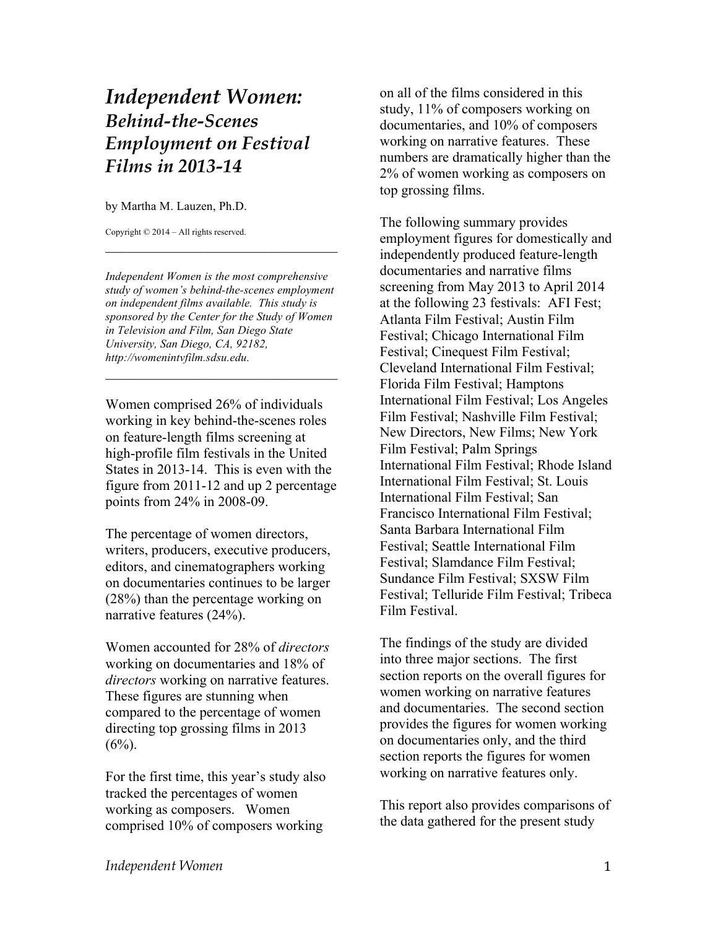## *Independent Women: Behind-the-Scenes Employment on Festival Films in 2013-14*

by Martha M. Lauzen, Ph.D.

Copyright © 2014 – All rights reserved.

*Independent Women is the most comprehensive study of women's behind-the-scenes employment on independent films available. This study is sponsored by the Center for the Study of Women in Television and Film, San Diego State University, San Diego, CA, 92182, http://womenintvfilm.sdsu.edu.*

 $\mathcal{L}_\text{max}$  , where  $\mathcal{L}_\text{max}$  is the set of the set of the set of the set of the set of the set of the set of the set of the set of the set of the set of the set of the set of the set of the set of the set of the se

 $\mathcal{L}_\text{max}$  , where  $\mathcal{L}_\text{max}$  is the set of the set of the set of the set of the set of the set of the set of the set of the set of the set of the set of the set of the set of the set of the set of the set of the se

Women comprised 26% of individuals working in key behind-the-scenes roles on feature-length films screening at high-profile film festivals in the United States in 2013-14. This is even with the figure from 2011-12 and up 2 percentage points from 24% in 2008-09.

The percentage of women directors, writers, producers, executive producers, editors, and cinematographers working on documentaries continues to be larger (28%) than the percentage working on narrative features (24%).

Women accounted for 28% of *directors* working on documentaries and 18% of *directors* working on narrative features. These figures are stunning when compared to the percentage of women directing top grossing films in 2013  $(6\%)$ .

For the first time, this year's study also tracked the percentages of women working as composers. Women comprised 10% of composers working

on all of the films considered in this study, 11% of composers working on documentaries, and 10% of composers working on narrative features. These numbers are dramatically higher than the 2% of women working as composers on top grossing films.

The following summary provides employment figures for domestically and independently produced feature-length documentaries and narrative films screening from May 2013 to April 2014 at the following 23 festivals: AFI Fest; Atlanta Film Festival; Austin Film Festival; Chicago International Film Festival; Cinequest Film Festival; Cleveland International Film Festival; Florida Film Festival; Hamptons International Film Festival; Los Angeles Film Festival; Nashville Film Festival; New Directors, New Films; New York Film Festival; Palm Springs International Film Festival; Rhode Island International Film Festival; St. Louis International Film Festival; San Francisco International Film Festival; Santa Barbara International Film Festival; Seattle International Film Festival; Slamdance Film Festival; Sundance Film Festival; SXSW Film Festival; Telluride Film Festival; Tribeca Film Festival.

The findings of the study are divided into three major sections. The first section reports on the overall figures for women working on narrative features and documentaries. The second section provides the figures for women working on documentaries only, and the third section reports the figures for women working on narrative features only.

This report also provides comparisons of the data gathered for the present study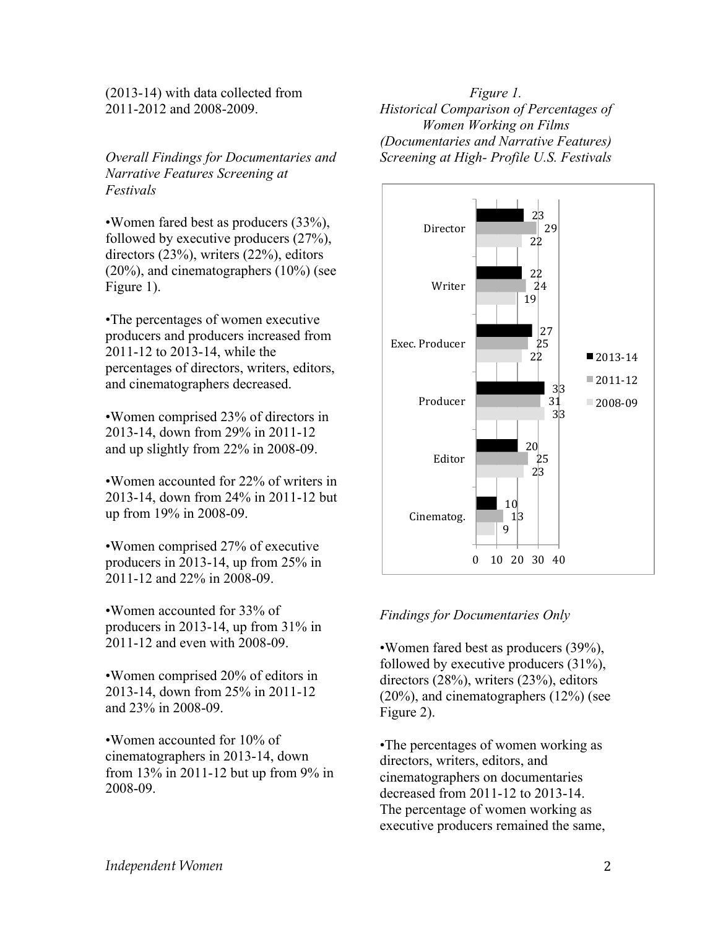(2013-14) with data collected from 2011-2012 and 2008-2009.

*Overall Findings for Documentaries and Narrative Features Screening at Festivals*

•Women fared best as producers (33%), followed by executive producers (27%), directors (23%), writers (22%), editors (20%), and cinematographers (10%) (see Figure 1).

•The percentages of women executive producers and producers increased from 2011-12 to 2013-14, while the percentages of directors, writers, editors, and cinematographers decreased.

•Women comprised 23% of directors in 2013-14, down from 29% in 2011-12 and up slightly from 22% in 2008-09.

•Women accounted for 22% of writers in 2013-14, down from 24% in 2011-12 but up from 19% in 2008-09.

•Women comprised 27% of executive producers in 2013-14, up from 25% in 2011-12 and 22% in 2008-09.

•Women accounted for 33% of producers in 2013-14, up from 31% in 2011-12 and even with 2008-09.

•Women comprised 20% of editors in 2013-14, down from 25% in 2011-12 and 23% in 2008-09.

•Women accounted for 10% of cinematographers in 2013-14, down from 13% in 2011-12 but up from 9% in 2008-09.

*Figure 1. Historical Comparison of Percentages of Women Working on Films (Documentaries and Narrative Features) Screening at High- Profile U.S. Festivals*



## *Findings for Documentaries Only*

•Women fared best as producers (39%), followed by executive producers (31%), directors (28%), writers (23%), editors (20%), and cinematographers (12%) (see Figure 2).

•The percentages of women working as directors, writers, editors, and cinematographers on documentaries decreased from 2011-12 to 2013-14. The percentage of women working as executive producers remained the same,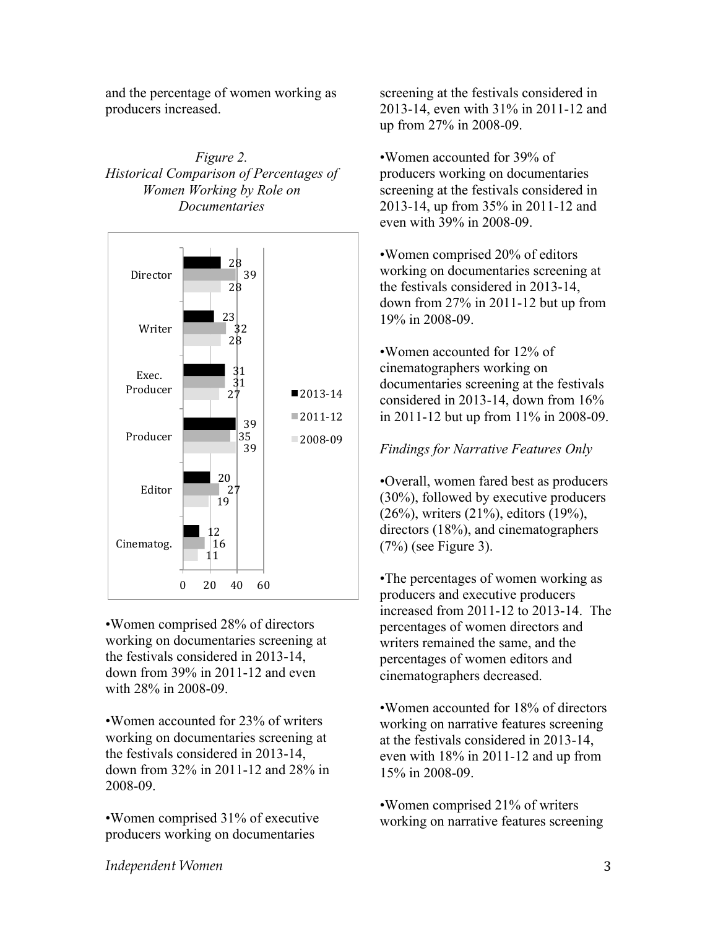and the percentage of women working as producers increased.

## *Figure 2. Historical Comparison of Percentages of Women Working by Role on Documentaries*



•Women comprised 28% of directors working on documentaries screening at the festivals considered in 2013-14, down from 39% in 2011-12 and even with 28% in 2008-09.

•Women accounted for 23% of writers working on documentaries screening at the festivals considered in 2013-14, down from 32% in 2011-12 and 28% in 2008-09.

•Women comprised 31% of executive producers working on documentaries

screening at the festivals considered in 2013-14, even with 31% in 2011-12 and up from 27% in 2008-09.

•Women accounted for 39% of producers working on documentaries screening at the festivals considered in 2013-14, up from 35% in 2011-12 and even with 39% in 2008-09.

•Women comprised 20% of editors working on documentaries screening at the festivals considered in 2013-14, down from 27% in 2011-12 but up from 19% in 2008-09.

•Women accounted for 12% of cinematographers working on documentaries screening at the festivals considered in 2013-14, down from 16% in 2011-12 but up from 11% in 2008-09.

## *Findings for Narrative Features Only*

•Overall, women fared best as producers (30%), followed by executive producers (26%), writers (21%), editors (19%), directors (18%), and cinematographers (7%) (see Figure 3).

•The percentages of women working as producers and executive producers increased from 2011-12 to 2013-14. The percentages of women directors and writers remained the same, and the percentages of women editors and cinematographers decreased.

•Women accounted for 18% of directors working on narrative features screening at the festivals considered in 2013-14, even with 18% in 2011-12 and up from 15% in 2008-09.

•Women comprised 21% of writers working on narrative features screening